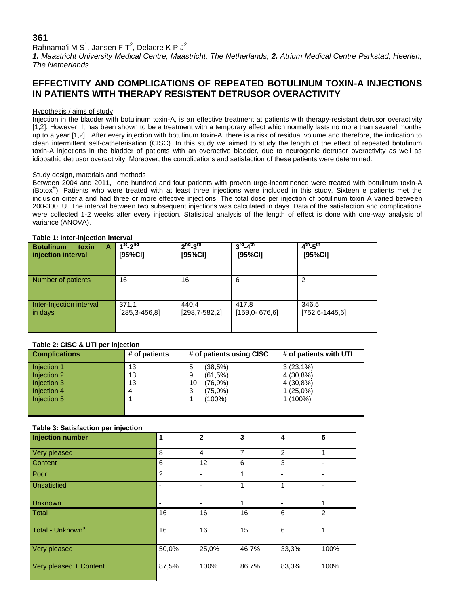## **361**

## Rahnama'i M $\, {\bf S}^1$ , Jansen F $\, {\bf T}^2$ , Delaere K $\, {\bf P} \, {\bf J}^2$

*1. Maastricht University Medical Centre, Maastricht, The Netherlands, 2. Atrium Medical Centre Parkstad, Heerlen, The Netherlands*

# **EFFECTIVITY AND COMPLICATIONS OF REPEATED BOTULINUM TOXIN-A INJECTIONS IN PATIENTS WITH THERAPY RESISTENT DETRUSOR OVERACTIVITY**

### Hypothesis / aims of study

Injection in the bladder with botulinum toxin-A, is an effective treatment at patients with therapy-resistant detrusor overactivity [1,2]. However, It has been shown to be a treatment with a temporary effect which normally lasts no more than several months up to a year [1,2]. After every injection with botulinum toxin-A, there is a risk of residual volume and therefore, the indication to clean intermittent self-catheterisation (CISC). In this study we aimed to study the length of the effect of repeated botulinum toxin-A injections in the bladder of patients with an overactive bladder, due to neurogenic detrusor overactivity as well as idiopathic detrusor overactivity. Moreover, the complications and satisfaction of these patients were determined.

### Study design, materials and methods

Between 2004 and 2011, one hundred and four patients with proven urge-incontinence were treated with botulinum toxin-A (Botox<sup>®</sup>). Patients who were treated with at least three injections were included in this study. Sixteen e patients met the inclusion criteria and had three or more effective injections. The total dose per injection of botulinum toxin A varied between 200-300 IU. The interval between two subsequent injections was calculated in days. Data of the satisfaction and complications were collected 1-2 weeks after every injection. Statistical analysis of the length of effect is done with one-way analysis of variance (ANOVA).

### **Table 1: Inter-injection interval**

| toxin<br><b>Botulinum</b><br>A<br>injection interval | $1st - 2nd$<br>[95%CI]       | $2nd-3rd$<br>[95%CI]       | $3rd-4th$<br>[95%CI]       | $4^{th} - 5^{th}$<br>[95%CI]  |
|------------------------------------------------------|------------------------------|----------------------------|----------------------------|-------------------------------|
| Number of patients                                   | 16                           | 16                         | 6                          | 2                             |
| Inter-Injection interval<br>in days                  | 371,1<br>$[285, 3 - 456, 8]$ | 440.4<br>$[298, 7-582, 2]$ | 417,8<br>$[159.0 - 676.6]$ | 346,5<br>$[752, 6 - 1445, 6]$ |

### **Table 2: CISC & UTI per injection**

| <b>Complications</b> | # of patients | # of patients using CISC | # of patients with UTI |  |  |  |
|----------------------|---------------|--------------------------|------------------------|--|--|--|
| Injection 1          | 13            | (38,5%)<br>5             | $3(23,1\%)$            |  |  |  |
| Injection 2          | 13            | (61,5%)<br>9             | 4 (30,8%)              |  |  |  |
| Injection 3          | 13            | (76,9%)<br>10            | 4 (30,8%)              |  |  |  |
| Injection 4          | 4             | (75,0%)<br>3             | $1(25,0\%)$            |  |  |  |
| Injection 5          |               | $(100\%)$                | $1(100\%)$             |  |  |  |
|                      |               |                          |                        |  |  |  |
|                      |               |                          |                        |  |  |  |

### **Table 3: Satisfaction per injection**

| <b>Injection number</b>      | 1              | $\overline{2}$ | 3               | 4     | 5                        |
|------------------------------|----------------|----------------|-----------------|-------|--------------------------|
| Very pleased                 | 8              | 4              | 7               | 2     | 1                        |
| Content                      | 6              | 12             | $6\phantom{1}6$ | 3     | $\overline{\phantom{0}}$ |
| Poor                         | $\overline{2}$ |                | $\mathbf{1}$    | ٠     | -                        |
| Unsatisfied                  |                |                | 1               | 1     |                          |
| <b>Unknown</b>               | ٠              | -              | 1               | ۰     | 1                        |
| <b>Total</b>                 | 16             | 16             | 16              | 6     | $\overline{2}$           |
| Total - Unknown <sup>a</sup> | 16             | 16             | 15              | 6     | 1                        |
| Very pleased                 | 50,0%          | 25,0%          | 46,7%           | 33,3% | 100%                     |
| Very pleased + Content       | 87,5%          | 100%           | 86,7%           | 83,3% | 100%                     |